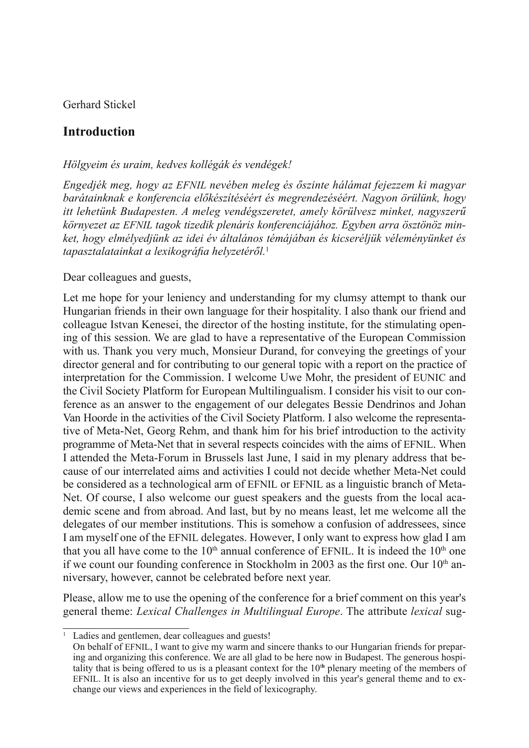Gerhard Stickel

## **Introduction**

## *Hölgyeim és uraim, kedves kollégák és vendégek!*

*Engedjék meg, hogy az EFNIL nevében meleg és őszinte hálámat fejezzem ki magyar barátainknak e konferencia előkészítéséért és megrendezéséért. Nagyon örülünk, hogy itt lehetünk Budapesten. A meleg vendégszeretet, amely körülvesz minket, nagyszerű környezet az EFNIL tagok tizedik plenáris konferenciájához. Egyben arra ösztönöz minket, hogy elmélyedjünk az idei év általános témájában és kicseréljük véleményünket és tapasztalatainkat a lexikográfia helyzetéről.*<sup>1</sup>

## Dear colleagues and guests,

Let me hope for your leniency and understanding for my clumsy attempt to thank our Hungarian friends in their own language for their hospitality. I also thank our friend and colleague Istvan Kenesei, the director of the hosting institute, for the stimulating opening of this session. We are glad to have a representative of the European Commission with us. Thank you very much, Monsieur Durand, for conveying the greetings of your director general and for contributing to our general topic with a report on the practice of interpretation for the Commission. I welcome Uwe Mohr, the president of EUNIC and the Civil Society Platform for European Multilingualism. I consider his visit to our conference as an answer to the engagement of our delegates Bessie Dendrinos and Johan Van Hoorde in the activities of the Civil Society Platform. I also welcome the representative of Meta-Net, Georg Rehm, and thank him for his brief introduction to the activity programme of Meta-Net that in several respects coincides with the aims of EFNIL. When I attended the Meta-Forum in Brussels last June, I said in my plenary address that because of our interrelated aims and activities I could not decide whether Meta-Net could be considered as a technological arm of EFNIL or EFNIL as a linguistic branch of Meta-Net. Of course, I also welcome our guest speakers and the guests from the local academic scene and from abroad. And last, but by no means least, let me welcome all the delegates of our member institutions. This is somehow a confusion of addressees, since I am myself one of the EFNIL delegates. However, I only want to express how glad I am that you all have come to the  $10<sup>th</sup>$  annual conference of EFNIL. It is indeed the  $10<sup>th</sup>$  one if we count our founding conference in Stockholm in 2003 as the first one. Our  $10<sup>th</sup>$  anniversary, however, cannot be celebrated before next year.

Please, allow me to use the opening of the conference for a brief comment on this year's general theme: *Lexical Challenges in Multilingual Europe*. The attribute *lexical* sug-

<sup>1</sup> Ladies and gentlemen, dear colleagues and guests!

On behalf of EFNIL, I want to give my warm and sincere thanks to our Hungarian friends for preparing and organizing this conference. We are all glad to be here now in Budapest. The generous hospitality that is being offered to us is a pleasant context for the 10<sup>th</sup> plenary meeting of the members of EFNIL. It is also an incentive for us to get deeply involved in this year's general theme and to exchange our views and experiences in the field of lexicography.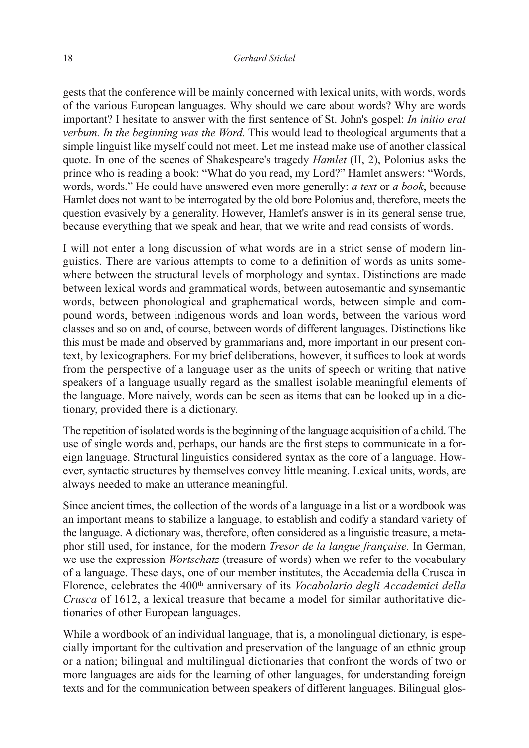gests that the conference will be mainly concerned with lexical units, with words, words of the various European languages. Why should we care about words? Why are words important? I hesitate to answer with the first sentence of St. John's gospel: *In initio erat verbum. In the beginning was the Word.* This would lead to theological arguments that a simple linguist like myself could not meet. Let me instead make use of another classical quote. In one of the scenes of Shakespeare's tragedy *Hamlet* (II, 2), Polonius asks the prince who is reading a book: "What do you read, my Lord?" Hamlet answers: "Words, words, words." He could have answered even more generally: *a text* or *a book*, because Hamlet does not want to be interrogated by the old bore Polonius and, therefore, meets the question evasively by a generality. However, Hamlet's answer is in its general sense true, because everything that we speak and hear, that we write and read consists of words.

I will not enter a long discussion of what words are in a strict sense of modern linguistics. There are various attempts to come to a definition of words as units somewhere between the structural levels of morphology and syntax. Distinctions are made between lexical words and grammatical words, between autosemantic and synsemantic words, between phonological and graphematical words, between simple and compound words, between indigenous words and loan words, between the various word classes and so on and, of course, between words of different languages. Distinctions like this must be made and observed by grammarians and, more important in our present context, by lexicographers. For my brief deliberations, however, it suffices to look at words from the perspective of a language user as the units of speech or writing that native speakers of a language usually regard as the smallest isolable meaningful elements of the language. More naively, words can be seen as items that can be looked up in a dictionary, provided there is a dictionary.

The repetition of isolated words is the beginning of the language acquisition of a child. The use of single words and, perhaps, our hands are the first steps to communicate in a foreign language. Structural linguistics considered syntax as the core of a language. However, syntactic structures by themselves convey little meaning. Lexical units, words, are always needed to make an utterance meaningful.

Since ancient times, the collection of the words of a language in a list or a wordbook was an important means to stabilize a language, to establish and codify a standard variety of the language. A dictionary was, therefore, often considered as a linguistic treasure, a metaphor still used, for instance, for the modern *Tresor de la langue française.* In German, we use the expression *Wortschatz* (treasure of words) when we refer to the vocabulary of a language. These days, one of our member institutes, the Accademia della Crusca in Florence, celebrates the 400<sup>th</sup> anniversary of its *Vocabolario degli Accademici della Crusca* of 1612, a lexical treasure that became a model for similar authoritative dictionaries of other European languages.

While a wordbook of an individual language, that is, a monolingual dictionary, is especially important for the cultivation and preservation of the language of an ethnic group or a nation; bilingual and multilingual dictionaries that confront the words of two or more languages are aids for the learning of other languages, for understanding foreign texts and for the communication between speakers of different languages. Bilingual glos-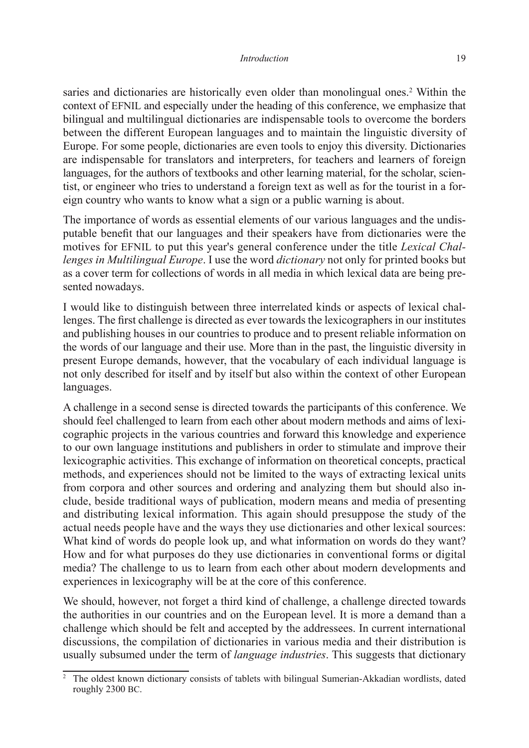## *Introduction* 19

saries and dictionaries are historically even older than monolingual ones.<sup>2</sup> Within the context of EFNIL and especially under the heading of this conference, we emphasize that bilingual and multilingual dictionaries are indispensable tools to overcome the borders between the different European languages and to maintain the linguistic diversity of Europe. For some people, dictionaries are even tools to enjoy this diversity. Dictionaries are indispensable for translators and interpreters, for teachers and learners of foreign languages, for the authors of textbooks and other learning material, for the scholar, scientist, or engineer who tries to understand a foreign text as well as for the tourist in a foreign country who wants to know what a sign or a public warning is about.

The importance of words as essential elements of our various languages and the undisputable benefit that our languages and their speakers have from dictionaries were the motives for EFNIL to put this year's general conference under the title *Lexical Challenges in Multilingual Europe*. I use the word *dictionary* not only for printed books but as a cover term for collections of words in all media in which lexical data are being presented nowadays.

I would like to distinguish between three interrelated kinds or aspects of lexical challenges. The first challenge is directed as ever towards the lexicographers in our institutes and publishing houses in our countries to produce and to present reliable information on the words of our language and their use. More than in the past, the linguistic diversity in present Europe demands, however, that the vocabulary of each individual language is not only described for itself and by itself but also within the context of other European languages.

A challenge in a second sense is directed towards the participants of this conference. We should feel challenged to learn from each other about modern methods and aims of lexicographic projects in the various countries and forward this knowledge and experience to our own language institutions and publishers in order to stimulate and improve their lexicographic activities. This exchange of information on theoretical concepts, practical methods, and experiences should not be limited to the ways of extracting lexical units from corpora and other sources and ordering and analyzing them but should also include, beside traditional ways of publication, modern means and media of presenting and distributing lexical information. This again should presuppose the study of the actual needs people have and the ways they use dictionaries and other lexical sources: What kind of words do people look up, and what information on words do they want? How and for what purposes do they use dictionaries in conventional forms or digital media? The challenge to us to learn from each other about modern developments and experiences in lexicography will be at the core of this conference.

We should, however, not forget a third kind of challenge, a challenge directed towards the authorities in our countries and on the European level. It is more a demand than a challenge which should be felt and accepted by the addressees. In current international discussions, the compilation of dictionaries in various media and their distribution is usually subsumed under the term of *language industries*. This suggests that dictionary

<sup>&</sup>lt;sup>2</sup> The oldest known dictionary consists of tablets with bilingual Sumerian-Akkadian wordlists, dated roughly 2300 BC.